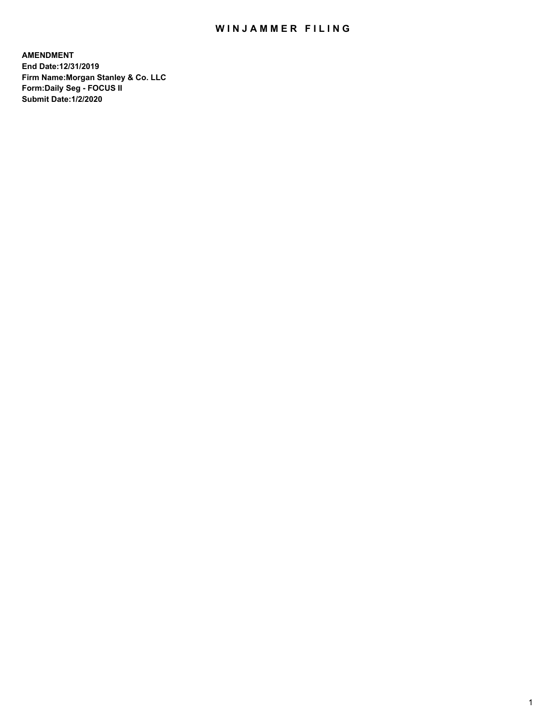## WIN JAMMER FILING

**AMENDMENT End Date:12/31/2019 Firm Name:Morgan Stanley & Co. LLC Form:Daily Seg - FOCUS II Submit Date:1/2/2020**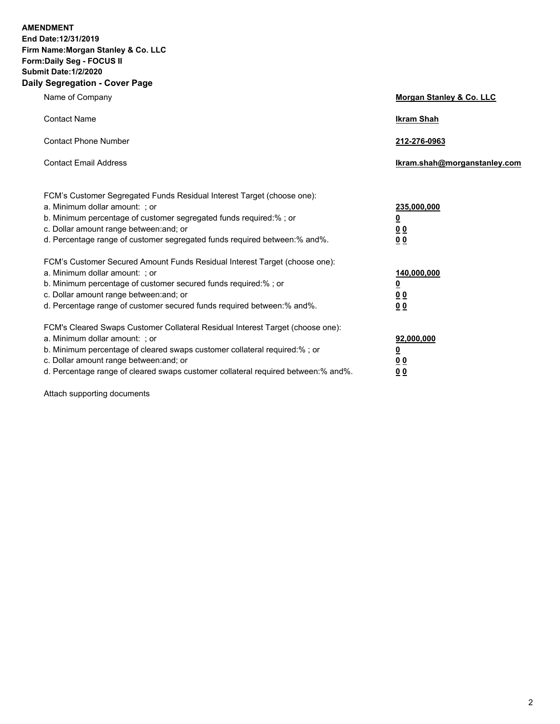**AMENDMENT** 

**End Date:12/31/2019 Firm Name:Morgan Stanley & Co. LLC Form:Daily Seg - FOCUS II Submit Date:1/2/2020 Daily Segregation - Cover Page**

| ν σεγιεγαιινιι - συνει παγε                                                       |                                     |
|-----------------------------------------------------------------------------------|-------------------------------------|
| Name of Company                                                                   | <b>Morgan Stanley &amp; Co. LLC</b> |
| <b>Contact Name</b>                                                               | <b>Ikram Shah</b>                   |
| <b>Contact Phone Number</b>                                                       | 212-276-0963                        |
| <b>Contact Email Address</b>                                                      | Ikram.shah@morganstanley.com        |
| FCM's Customer Segregated Funds Residual Interest Target (choose one):            |                                     |
| a. Minimum dollar amount: ; or                                                    | 235,000,000                         |
| b. Minimum percentage of customer segregated funds required:%; or                 | <u>0</u>                            |
| c. Dollar amount range between: and; or                                           | <u>00</u>                           |
| d. Percentage range of customer segregated funds required between:% and%.         | 0 <sub>0</sub>                      |
| FCM's Customer Secured Amount Funds Residual Interest Target (choose one):        |                                     |
| a. Minimum dollar amount: ; or                                                    | 140,000,000                         |
| b. Minimum percentage of customer secured funds required:%; or                    | <u>0</u>                            |
| c. Dollar amount range between: and; or                                           | <u>00</u>                           |
| d. Percentage range of customer secured funds required between: % and %.          | 0 <sub>0</sub>                      |
| FCM's Cleared Swaps Customer Collateral Residual Interest Target (choose one):    |                                     |
| a. Minimum dollar amount: ; or                                                    | 92,000,000                          |
| b. Minimum percentage of cleared swaps customer collateral required:%; or         | <u>0</u>                            |
| c. Dollar amount range between: and; or                                           | <u>00</u>                           |
| d. Percentage range of cleared swaps customer collateral required between:% and%. | 00                                  |

Attach supporting documents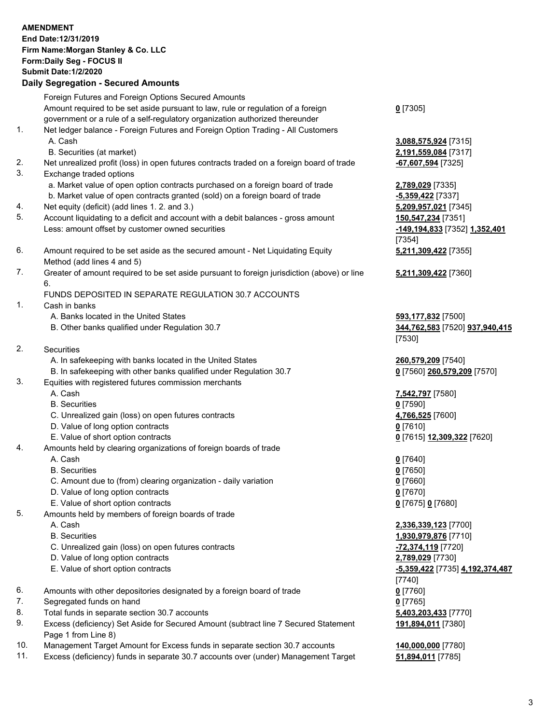|     | <b>AMENDMENT</b>                                                                            |                                 |
|-----|---------------------------------------------------------------------------------------------|---------------------------------|
|     | End Date: 12/31/2019                                                                        |                                 |
|     | Firm Name: Morgan Stanley & Co. LLC                                                         |                                 |
|     | Form: Daily Seg - FOCUS II                                                                  |                                 |
|     | <b>Submit Date:1/2/2020</b>                                                                 |                                 |
|     | <b>Daily Segregation - Secured Amounts</b>                                                  |                                 |
|     |                                                                                             |                                 |
|     | Foreign Futures and Foreign Options Secured Amounts                                         |                                 |
|     | Amount required to be set aside pursuant to law, rule or regulation of a foreign            | $0$ [7305]                      |
|     | government or a rule of a self-regulatory organization authorized thereunder                |                                 |
| 1.  | Net ledger balance - Foreign Futures and Foreign Option Trading - All Customers             |                                 |
|     | A. Cash                                                                                     | 3,088,575,924 [7315]            |
|     | B. Securities (at market)                                                                   | 2,191,559,084 [7317]            |
| 2.  | Net unrealized profit (loss) in open futures contracts traded on a foreign board of trade   | -67,607,594 [7325]              |
| 3.  | Exchange traded options                                                                     |                                 |
|     | a. Market value of open option contracts purchased on a foreign board of trade              | 2,789,029 [7335]                |
|     | b. Market value of open contracts granted (sold) on a foreign board of trade                | $-5,359,422$ [7337]             |
|     |                                                                                             |                                 |
| 4.  | Net equity (deficit) (add lines 1.2. and 3.)                                                | 5,209,957,021 [7345]            |
| 5.  | Account liquidating to a deficit and account with a debit balances - gross amount           | 150,547,234 [7351]              |
|     | Less: amount offset by customer owned securities                                            | -149,194,833 [7352] 1,352,401   |
|     |                                                                                             | [7354]                          |
| 6.  | Amount required to be set aside as the secured amount - Net Liquidating Equity              | 5,211,309,422 [7355]            |
|     | Method (add lines 4 and 5)                                                                  |                                 |
| 7.  | Greater of amount required to be set aside pursuant to foreign jurisdiction (above) or line | 5,211,309,422 [7360]            |
|     | 6.                                                                                          |                                 |
|     | FUNDS DEPOSITED IN SEPARATE REGULATION 30.7 ACCOUNTS                                        |                                 |
| 1.  | Cash in banks                                                                               |                                 |
|     | A. Banks located in the United States                                                       | 593,177,832 [7500]              |
|     | B. Other banks qualified under Regulation 30.7                                              | 344,762,583 [7520] 937,940,415  |
|     |                                                                                             | [7530]                          |
| 2.  | Securities                                                                                  |                                 |
|     | A. In safekeeping with banks located in the United States                                   |                                 |
|     |                                                                                             | 260,579,209 [7540]              |
|     | B. In safekeeping with other banks qualified under Regulation 30.7                          | 0 [7560] 260,579,209 [7570]     |
| 3.  | Equities with registered futures commission merchants                                       |                                 |
|     | A. Cash                                                                                     | 7,542,797 [7580]                |
|     | <b>B.</b> Securities                                                                        | $0$ [7590]                      |
|     | C. Unrealized gain (loss) on open futures contracts                                         | 4,766,525 [7600]                |
|     | D. Value of long option contracts                                                           | $0$ [7610]                      |
|     | E. Value of short option contracts                                                          | 0 [7615] 12,309,322 [7620]      |
| 4.  | Amounts held by clearing organizations of foreign boards of trade                           |                                 |
|     | A. Cash                                                                                     | $0$ [7640]                      |
|     | <b>B.</b> Securities                                                                        | $0$ [7650]                      |
|     | C. Amount due to (from) clearing organization - daily variation                             | $0$ [7660]                      |
|     | D. Value of long option contracts                                                           | $0$ [7670]                      |
|     | E. Value of short option contracts                                                          | 0 [7675] 0 [7680]               |
| 5.  | Amounts held by members of foreign boards of trade                                          |                                 |
|     | A. Cash                                                                                     | 2,336,339,123 [7700]            |
|     | <b>B.</b> Securities                                                                        | 1,930,979,876 [7710]            |
|     |                                                                                             |                                 |
|     | C. Unrealized gain (loss) on open futures contracts                                         | -72,374,119 [7720]              |
|     | D. Value of long option contracts                                                           | 2,789,029 [7730]                |
|     | E. Value of short option contracts                                                          | -5,359,422 [7735] 4,192,374,487 |
|     |                                                                                             | [7740]                          |
| 6.  | Amounts with other depositories designated by a foreign board of trade                      | $0$ [7760]                      |
| 7.  | Segregated funds on hand                                                                    | $0$ [7765]                      |
| 8.  | Total funds in separate section 30.7 accounts                                               | 5,403,203,433 [7770]            |
| 9.  | Excess (deficiency) Set Aside for Secured Amount (subtract line 7 Secured Statement         | 191,894,011 [7380]              |
|     | Page 1 from Line 8)                                                                         |                                 |
| 10. | Management Target Amount for Excess funds in separate section 30.7 accounts                 | 140,000,000 [7780]              |

11. Excess (deficiency) funds in separate 30.7 accounts over (under) Management Target **51,894,011** [7785]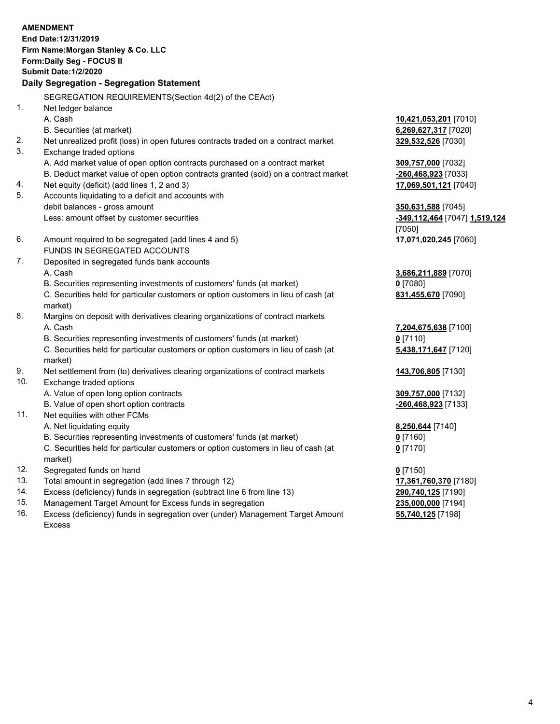|     | <b>AMENDMENT</b><br>End Date: 12/31/2019<br>Firm Name: Morgan Stanley & Co. LLC<br>Form: Daily Seg - FOCUS II |                                      |
|-----|---------------------------------------------------------------------------------------------------------------|--------------------------------------|
|     | <b>Submit Date: 1/2/2020</b>                                                                                  |                                      |
|     | Daily Segregation - Segregation Statement                                                                     |                                      |
|     | SEGREGATION REQUIREMENTS(Section 4d(2) of the CEAct)                                                          |                                      |
| 1.  | Net ledger balance                                                                                            |                                      |
|     | A. Cash                                                                                                       | 10,421,053,201 [7010]                |
|     | B. Securities (at market)                                                                                     | 6,269,627,317 [7020]                 |
| 2.  | Net unrealized profit (loss) in open futures contracts traded on a contract market                            | 329,532,526 [7030]                   |
| 3.  | Exchange traded options                                                                                       |                                      |
|     | A. Add market value of open option contracts purchased on a contract market                                   | 309,757,000 [7032]                   |
|     | B. Deduct market value of open option contracts granted (sold) on a contract market                           | -260,468,923 [7033]                  |
| 4.  | Net equity (deficit) (add lines 1, 2 and 3)                                                                   | 17,069,501,121 [7040]                |
| 5.  | Accounts liquidating to a deficit and accounts with                                                           |                                      |
|     | debit balances - gross amount                                                                                 | 350,631,588 [7045]                   |
|     | Less: amount offset by customer securities                                                                    | <u>-349,112,464</u> [7047] 1,519,124 |
|     |                                                                                                               | [7050]                               |
| 6.  | Amount required to be segregated (add lines 4 and 5)                                                          | 17,071,020,245 [7060]                |
|     | FUNDS IN SEGREGATED ACCOUNTS                                                                                  |                                      |
| 7.  | Deposited in segregated funds bank accounts                                                                   |                                      |
|     | A. Cash                                                                                                       | 3,686,211,889 [7070]                 |
|     | B. Securities representing investments of customers' funds (at market)                                        | $0$ [7080]                           |
|     | C. Securities held for particular customers or option customers in lieu of cash (at<br>market)                | 831,455,670 [7090]                   |
| 8.  | Margins on deposit with derivatives clearing organizations of contract markets                                |                                      |
|     | A. Cash                                                                                                       | 7,204,675,638 [7100]                 |
|     | B. Securities representing investments of customers' funds (at market)                                        | $0$ [7110]                           |
|     | C. Securities held for particular customers or option customers in lieu of cash (at                           | 5,438,171,647 [7120]                 |
|     | market)                                                                                                       |                                      |
| 9.  | Net settlement from (to) derivatives clearing organizations of contract markets                               | 143,706,805 [7130]                   |
| 10. | Exchange traded options                                                                                       |                                      |
|     | A. Value of open long option contracts                                                                        | 309,757,000 [7132]                   |
|     | B. Value of open short option contracts                                                                       | -260,468,923 [7133]                  |
| 11. | Net equities with other FCMs                                                                                  |                                      |
|     | A. Net liquidating equity                                                                                     | 8,250,644 [7140]                     |
|     | B. Securities representing investments of customers' funds (at market)                                        | <u>0</u> [7160]                      |
|     | C. Securities held for particular customers or option customers in lieu of cash (at<br>market)                | $0$ [7170]                           |
| 12. | Segregated funds on hand                                                                                      | $0$ [7150]                           |
| 13. | Total amount in segregation (add lines 7 through 12)                                                          | 17,361,760,370 [7180]                |
| 14. | Excess (deficiency) funds in segregation (subtract line 6 from line 13)                                       | 290,740,125 [7190]                   |

- 
- 15. Management Target Amount for Excess funds in segregation<br>16. Excess (deficiency) funds in segregation over (under) Management Target Amount **235,000,000** [7198] Excess (deficiency) funds in segregation over (under) Management Target Amount Excess

**55,740,125** [7198]